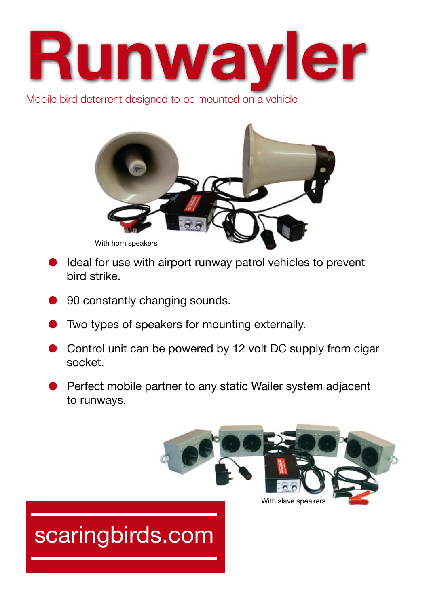

Mobile bird deterrent designed to be mounted on a vehicle



- Ideal for use with airport runway patrol vehicles to prevent bird strike.
- 90 constantly changing sounds.
- Two types of speakers for mounting externally.
- Control unit can be powered by 12 volt DC supply from cigar socket.
- Perfect mobile partner to any static Wailer system adjacent to runways.



# scaringbirds.com